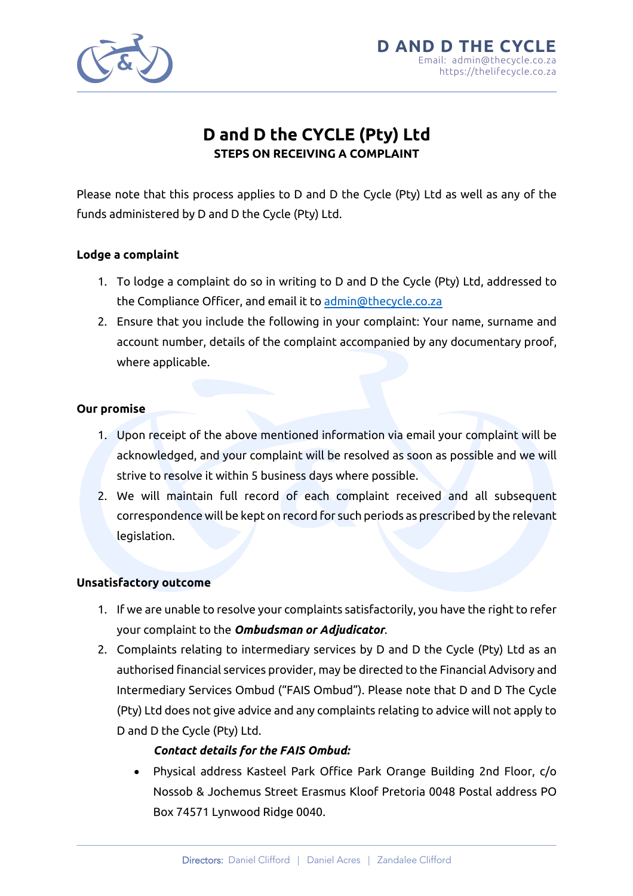

# **D and D the CYCLE (Pty) Ltd STEPS ON RECEIVING A COMPLAINT**

Please note that this process applies to D and D the Cycle (Pty) Ltd as well as any of the funds administered by D and D the Cycle (Pty) Ltd.

#### **Lodge a complaint**

- 1. To lodge a complaint do so in writing to D and D the Cycle (Pty) Ltd, addressed to the Compliance Officer, and email it to admin@thecycle.co.za
- 2. Ensure that you include the following in your complaint: Your name, surname and account number, details of the complaint accompanied by any documentary proof, where applicable.

#### **Our promise**

- 1. Upon receipt of the above mentioned information via email your complaint will be acknowledged, and your complaint will be resolved as soon as possible and we will strive to resolve it within 5 business days where possible.
- 2. We will maintain full record of each complaint received and all subsequent correspondence will be kept on record for such periods as prescribed by the relevant legislation.

#### **Unsatisfactory outcome**

- 1. If we are unable to resolve your complaints satisfactorily, you have the right to refer your complaint to the *Ombudsman or Adjudicator*.
- 2. Complaints relating to intermediary services by D and D the Cycle (Pty) Ltd as an authorised financial services provider, may be directed to the Financial Advisory and Intermediary Services Ombud ("FAIS Ombud"). Please note that D and D The Cycle (Pty) Ltd does not give advice and any complaints relating to advice will not apply to D and D the Cycle (Pty) Ltd.

## *Contact details for the FAIS Ombud:*

• Physical address Kasteel Park Office Park Orange Building 2nd Floor, c/o Nossob & Jochemus Street Erasmus Kloof Pretoria 0048 Postal address PO Box 74571 Lynwood Ridge 0040.